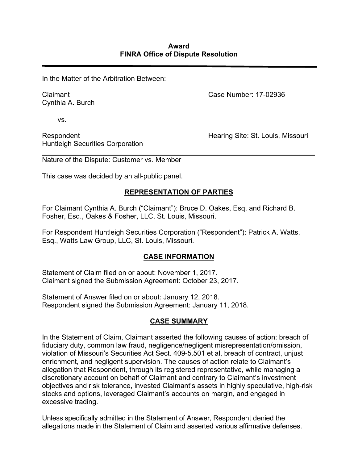In the Matter of the Arbitration Between:

Claimant Cynthia A. Burch Case Number: 17-02936

vs.

Respondent Huntleigh Securities Corporation Hearing Site: St. Louis, Missouri

*\_\_\_\_\_\_\_\_\_\_\_\_\_\_\_\_\_\_\_\_\_\_\_\_\_\_\_\_\_\_\_\_\_\_\_\_\_\_\_\_\_\_\_\_\_\_\_\_\_\_\_\_\_\_\_\_\_\_\_\_\_\_\_\_\_\_\_\_\_\_* Nature of the Dispute: Customer vs. Member

This case was decided by an all-public panel.

# **REPRESENTATION OF PARTIES**

For Claimant Cynthia A. Burch ("Claimant"): Bruce D. Oakes, Esq. and Richard B. Fosher, Esq., Oakes & Fosher, LLC, St. Louis, Missouri.

For Respondent Huntleigh Securities Corporation ("Respondent"): Patrick A. Watts, Esq., Watts Law Group, LLC, St. Louis, Missouri.

# **CASE INFORMATION**

Statement of Claim filed on or about: November 1, 2017. Claimant signed the Submission Agreement: October 23, 2017.

Statement of Answer filed on or about: January 12, 2018. Respondent signed the Submission Agreement: January 11, 2018.

# **CASE SUMMARY**

In the Statement of Claim, Claimant asserted the following causes of action: breach of fiduciary duty, common law fraud, negligence/negligent misrepresentation/omission, violation of Missouri's Securities Act Sect. 409-5.501 et al, breach of contract, unjust enrichment, and negligent supervision. The causes of action relate to Claimant's allegation that Respondent, through its registered representative, while managing a discretionary account on behalf of Claimant and contrary to Claimant's investment objectives and risk tolerance, invested Claimant's assets in highly speculative, high-risk stocks and options, leveraged Claimant's accounts on margin, and engaged in excessive trading.

Unless specifically admitted in the Statement of Answer, Respondent denied the allegations made in the Statement of Claim and asserted various affirmative defenses.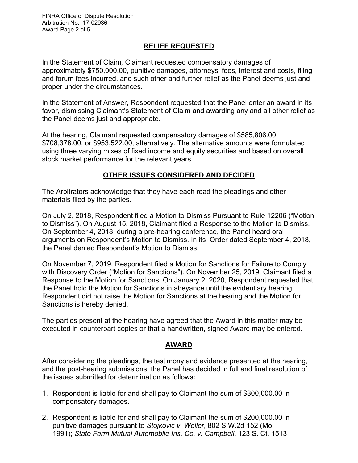FINRA Office of Dispute Resolution Arbitration No. 17-02936 Award Page 2 of 5

#### **RELIEF REQUESTED**

In the Statement of Claim*,* Claimant requested compensatory damages of approximately \$750,000.00, punitive damages, attorneys' fees, interest and costs, filing and forum fees incurred, and such other and further relief as the Panel deems just and proper under the circumstances.

In the Statement of Answer, Respondent requested that the Panel enter an award in its favor, dismissing Claimant's Statement of Claim and awarding any and all other relief as the Panel deems just and appropriate.

At the hearing, Claimant requested compensatory damages of \$585,806.00, \$708,378.00, or \$953,522.00, alternatively. The alternative amounts were formulated using three varying mixes of fixed income and equity securities and based on overall stock market performance for the relevant years.

## **OTHER ISSUES CONSIDERED AND DECIDED**

The Arbitrators acknowledge that they have each read the pleadings and other materials filed by the parties.

On July 2, 2018, Respondent filed a Motion to Dismiss Pursuant to Rule 12206 ("Motion to Dismiss"). On August 15, 2018, Claimant filed a Response to the Motion to Dismiss. On September 4, 2018, during a pre-hearing conference, the Panel heard oral arguments on Respondent's Motion to Dismiss. In its Order dated September 4, 2018, the Panel denied Respondent's Motion to Dismiss.

On November 7, 2019, Respondent filed a Motion for Sanctions for Failure to Comply with Discovery Order ("Motion for Sanctions"). On November 25, 2019, Claimant filed a Response to the Motion for Sanctions. On January 2, 2020, Respondent requested that the Panel hold the Motion for Sanctions in abeyance until the evidentiary hearing. Respondent did not raise the Motion for Sanctions at the hearing and the Motion for Sanctions is hereby denied.

The parties present at the hearing have agreed that the Award in this matter may be executed in counterpart copies or that a handwritten, signed Award may be entered.

### **AWARD**

After considering the pleadings, the testimony and evidence presented at the hearing, and the post-hearing submissions, the Panel has decided in full and final resolution of the issues submitted for determination as follows:

- 1. Respondent is liable for and shall pay to Claimant the sum of \$300,000.00 in compensatory damages.
- 2. Respondent is liable for and shall pay to Claimant the sum of \$200,000.00 in punitive damages pursuant to *Stojkovic v. Weller*, 802 S.W.2d 152 (Mo. 1991); *State Farm Mutual Automobile Ins. Co. v. Campbell*, 123 S. Ct. 1513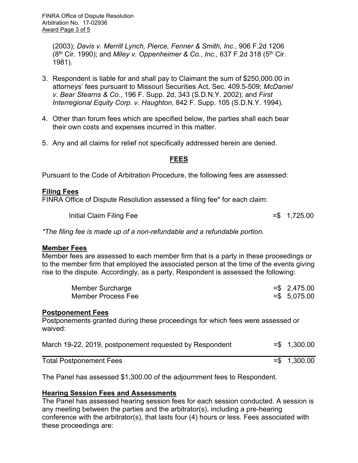(2003); *Davis v. Merrill Lynch, Pierce, Fenner & Smith, Inc.*, 906 F.2d 1206 (8th Cir. 1990); and *Miley v. Oppenheimer & Co.*, *Inc.,* 637 F.2d 318 (5th Cir. 1981).

- 3. Respondent is liable for and shall pay to Claimant the sum of \$250,000.00 in attorneys' fees pursuant to Missouri Securities Act, Sec. 409.5-509; *McDaniel v. Bear Stearns & Co.*, 196 F. Supp. 2d, 343 (S.D.N.Y. 2002); and *First Interregional Equity Corp. v. Haughton*, 842 F. Supp. 105 (S.D.N.Y. 1994).
- 4. Other than forum fees which are specified below, the parties shall each bear their own costs and expenses incurred in this matter.
- 5. Any and all claims for relief not specifically addressed herein are denied.

### **FEES**

Pursuant to the Code of Arbitration Procedure, the following fees are assessed:

### **Filing Fees**

FINRA Office of Dispute Resolution assessed a filing fee\* for each claim:

Initial Claim Filing Fee  $=$  \$ 1,725.00

*\*The filing fee is made up of a non-refundable and a refundable portion.*

#### **Member Fees**

Member fees are assessed to each member firm that is a party in these proceedings or to the member firm that employed the associated person at the time of the events giving rise to the dispute. Accordingly, as a party, Respondent is assessed the following:

| Member Surcharge   | $=$ \$2,475.00 |
|--------------------|----------------|
| Member Process Fee | $= $$ 5,075.00 |

#### **Postponement Fees**

Postponements granted during these proceedings for which fees were assessed or waived:

| March 19-22, 2019, postponement requested by Respondent | $= $ 1,300.00$ |
|---------------------------------------------------------|----------------|
| <b>Total Postponement Fees</b>                          | $= $ 1,300.00$ |

The Panel has assessed \$1,300.00 of the adjournment fees to Respondent.

### **Hearing Session Fees and Assessments**

The Panel has assessed hearing session fees for each session conducted. A session is any meeting between the parties and the arbitrator(s), including a pre-hearing conference with the arbitrator(s), that lasts four (4) hours or less. Fees associated with these proceedings are: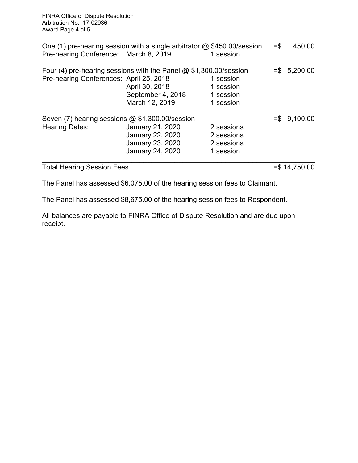FINRA Office of Dispute Resolution Arbitration No. 17-02936 Award Page 4 of 5

| Pre-hearing Conference: March 8, 2019                             | One (1) pre-hearing session with a single arbitrator $\omega$ \$450.00/session                                               | 1 session                                           | $=$ \$ | 450.00         |
|-------------------------------------------------------------------|------------------------------------------------------------------------------------------------------------------------------|-----------------------------------------------------|--------|----------------|
| Pre-hearing Conferences: April 25, 2018                           | Four (4) pre-hearing sessions with the Panel $@$ \$1,300.00/session<br>April 30, 2018<br>September 4, 2018<br>March 12, 2019 | 1 session<br>1 session<br>1 session<br>1 session    |        | $= $$ 5,200.00 |
| Seven (7) hearing sessions @ \$1,300.00/session<br>Hearing Dates: | January 21, 2020<br>January 22, 2020<br>January 23, 2020<br>January 24, 2020                                                 | 2 sessions<br>2 sessions<br>2 sessions<br>1 session |        | $= $$ 9,100.00 |

Total Hearing Session Fees = \$ 14,750.00

The Panel has assessed \$6,075.00 of the hearing session fees to Claimant.

The Panel has assessed \$8,675.00 of the hearing session fees to Respondent.

All balances are payable to FINRA Office of Dispute Resolution and are due upon receipt.